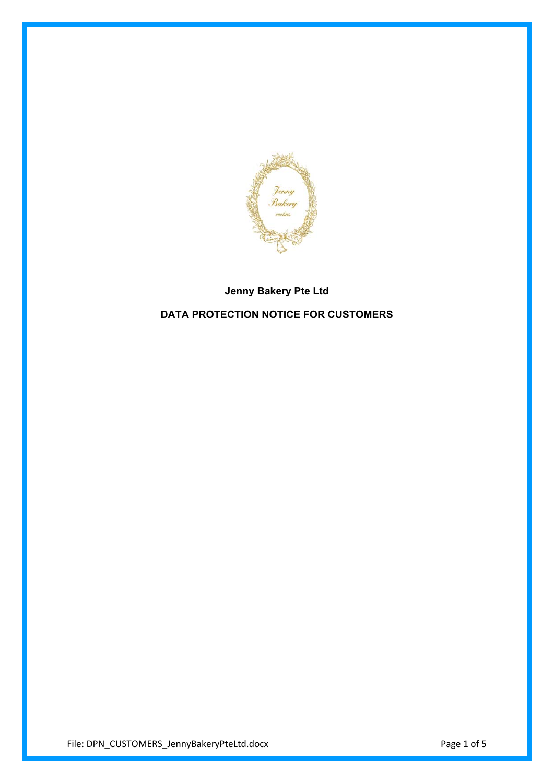

# **Jenny Bakery Pte Ltd DATA PROTECTION NOTICE FOR CUSTOMERS**

File: DPN\_CUSTOMERS\_JennyBakeryPteLtd.docx Page 1 of 5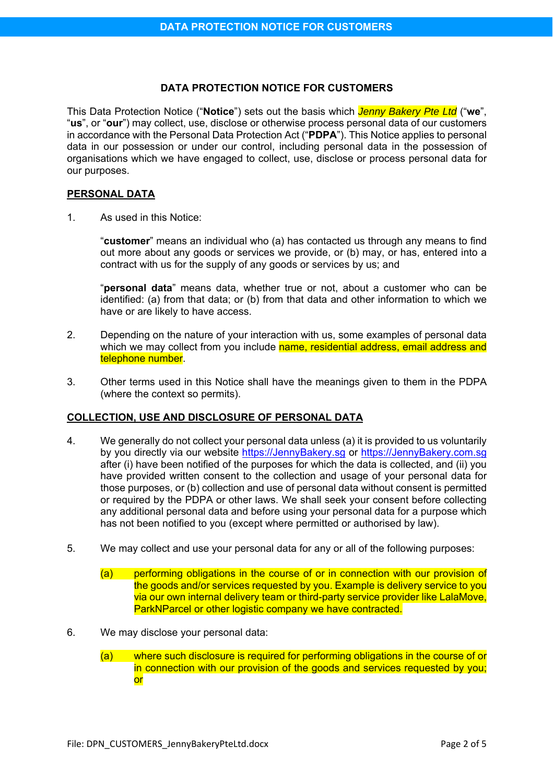## **DATA PROTECTION NOTICE FOR CUSTOMERS**

This Data Protection Notice ("**Notice**") sets out the basis which *Jenny Bakery Pte Ltd* ("**we**", "**us**", or "**our**") may collect, use, disclose or otherwise process personal data of our customers in accordance with the Personal Data Protection Act ("**PDPA**"). This Notice applies to personal data in our possession or under our control, including personal data in the possession of organisations which we have engaged to collect, use, disclose or process personal data for our purposes.

## **PERSONAL DATA**

1. As used in this Notice:

"**customer**" means an individual who (a) has contacted us through any means to find out more about any goods or services we provide, or (b) may, or has, entered into a contract with us for the supply of any goods or services by us; and

"**personal data**" means data, whether true or not, about a customer who can be identified: (a) from that data; or (b) from that data and other information to which we have or are likely to have access.

- 2. Depending on the nature of your interaction with us, some examples of personal data which we may collect from you include name, residential address, email address and telephone number.
- 3. Other terms used in this Notice shall have the meanings given to them in the PDPA (where the context so permits).

# **COLLECTION, USE AND DISCLOSURE OF PERSONAL DATA**

- 4. We generally do not collect your personal data unless (a) it is provided to us voluntarily by you directly via our website https://JennyBakery.sg or https://JennyBakery.com.sg after (i) have been notified of the purposes for which the data is collected, and (ii) you have provided written consent to the collection and usage of your personal data for those purposes, or (b) collection and use of personal data without consent is permitted or required by the PDPA or other laws. We shall seek your consent before collecting any additional personal data and before using your personal data for a purpose which has not been notified to you (except where permitted or authorised by law).
- 5. We may collect and use your personal data for any or all of the following purposes:
	- (a) performing obligations in the course of or in connection with our provision of the goods and/or services requested by you. Example is delivery service to you via our own internal delivery team or third-party service provider like LalaMove, ParkNParcel or other logistic company we have contracted.
- 6. We may disclose your personal data:
	- (a) where such disclosure is required for performing obligations in the course of or in connection with our provision of the goods and services requested by you; or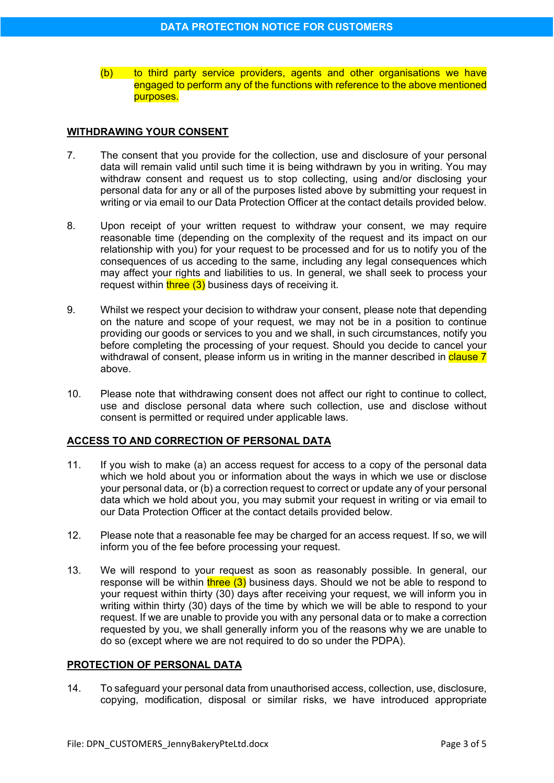(b) to third party service providers, agents and other organisations we have engaged to perform any of the functions with reference to the above mentioned purposes.

## **WITHDRAWING YOUR CONSENT**

- 7. The consent that you provide for the collection, use and disclosure of your personal data will remain valid until such time it is being withdrawn by you in writing. You may withdraw consent and request us to stop collecting, using and/or disclosing your personal data for any or all of the purposes listed above by submitting your request in writing or via email to our Data Protection Officer at the contact details provided below.
- 8. Upon receipt of your written request to withdraw your consent, we may require reasonable time (depending on the complexity of the request and its impact on our relationship with you) for your request to be processed and for us to notify you of the consequences of us acceding to the same, including any legal consequences which may affect your rights and liabilities to us. In general, we shall seek to process your request within three  $(3)$  business days of receiving it.
- 9. Whilst we respect your decision to withdraw your consent, please note that depending on the nature and scope of your request, we may not be in a position to continue providing our goods or services to you and we shall, in such circumstances, notify you before completing the processing of your request. Should you decide to cancel your withdrawal of consent, please inform us in writing in the manner described in clause 7 above.
- 10. Please note that withdrawing consent does not affect our right to continue to collect, use and disclose personal data where such collection, use and disclose without consent is permitted or required under applicable laws.

## **ACCESS TO AND CORRECTION OF PERSONAL DATA**

- 11. If you wish to make (a) an access request for access to a copy of the personal data which we hold about you or information about the ways in which we use or disclose your personal data, or (b) a correction request to correct or update any of your personal data which we hold about you, you may submit your request in writing or via email to our Data Protection Officer at the contact details provided below.
- 12. Please note that a reasonable fee may be charged for an access request. If so, we will inform you of the fee before processing your request.
- 13. We will respond to your request as soon as reasonably possible. In general, our response will be within  $three (3)$  business days. Should we not be able to respond to your request within thirty (30) days after receiving your request, we will inform you in writing within thirty (30) days of the time by which we will be able to respond to your request. If we are unable to provide you with any personal data or to make a correction requested by you, we shall generally inform you of the reasons why we are unable to do so (except where we are not required to do so under the PDPA).

## **PROTECTION OF PERSONAL DATA**

14. To safeguard your personal data from unauthorised access, collection, use, disclosure, copying, modification, disposal or similar risks, we have introduced appropriate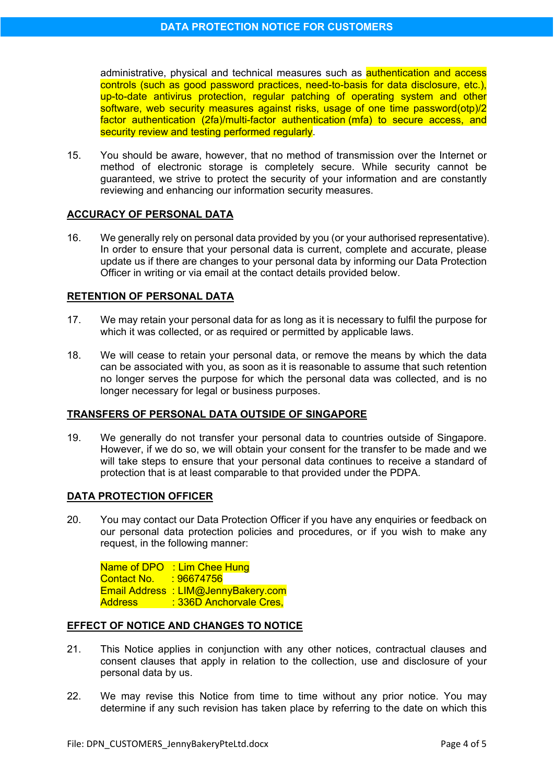administrative, physical and technical measures such as authentication and access controls (such as good password practices, need-to-basis for data disclosure, etc.), up-to-date antivirus protection, regular patching of operating system and other software, web security measures against risks, usage of one time password(otp)/2 factor authentication (2fa)/multi-factor authentication (mfa) to secure access, and security review and testing performed regularly.

15. You should be aware, however, that no method of transmission over the Internet or method of electronic storage is completely secure. While security cannot be guaranteed, we strive to protect the security of your information and are constantly reviewing and enhancing our information security measures.

## **ACCURACY OF PERSONAL DATA**

16. We generally rely on personal data provided by you (or your authorised representative). In order to ensure that your personal data is current, complete and accurate, please update us if there are changes to your personal data by informing our Data Protection Officer in writing or via email at the contact details provided below.

## **RETENTION OF PERSONAL DATA**

- 17. We may retain your personal data for as long as it is necessary to fulfil the purpose for which it was collected, or as required or permitted by applicable laws.
- 18. We will cease to retain your personal data, or remove the means by which the data can be associated with you, as soon as it is reasonable to assume that such retention no longer serves the purpose for which the personal data was collected, and is no longer necessary for legal or business purposes.

## **TRANSFERS OF PERSONAL DATA OUTSIDE OF SINGAPORE**

19. We generally do not transfer your personal data to countries outside of Singapore. However, if we do so, we will obtain your consent for the transfer to be made and we will take steps to ensure that your personal data continues to receive a standard of protection that is at least comparable to that provided under the PDPA.

#### **DATA PROTECTION OFFICER**

20. You may contact our Data Protection Officer if you have any enquiries or feedback on our personal data protection policies and procedures, or if you wish to make any request, in the following manner:

Name of DPO : Lim Chee Hung Contact No. : 96674756 Email Address : LIM@JennyBakery.com Address : 336D Anchorvale Cres,

#### **EFFECT OF NOTICE AND CHANGES TO NOTICE**

- 21. This Notice applies in conjunction with any other notices, contractual clauses and consent clauses that apply in relation to the collection, use and disclosure of your personal data by us.
- 22. We may revise this Notice from time to time without any prior notice. You may determine if any such revision has taken place by referring to the date on which this